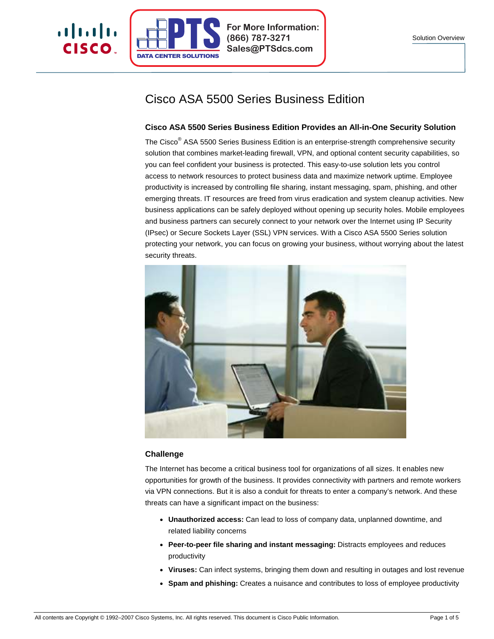

a | 1.1 | 1.

CISCO.

**For More Information: (866) 787-3271 Sales@PTSdcs.com**

# Cisco ASA 5500 Series Business Edition

# **Cisco ASA 5500 Series Business Edition Provides an All-in-One Security Solution**

The Cisco<sup>®</sup> ASA 5500 Series Business Edition is an enterprise-strength comprehensive security solution that combines market-leading firewall, VPN, and optional content security capabilities, so you can feel confident your business is protected. This easy-to-use solution lets you control access to network resources to protect business data and maximize network uptime. Employee productivity is increased by controlling file sharing, instant messaging, spam, phishing, and other emerging threats. IT resources are freed from virus eradication and system cleanup activities. New business applications can be safely deployed without opening up security holes. Mobile employees and business partners can securely connect to your network over the Internet using IP Security (IPsec) or Secure Sockets Layer (SSL) VPN services. With a Cisco ASA 5500 Series solution protecting your network, you can focus on growing your business, without worrying about the latest security threats.



# **Challenge**

The Internet has become a critical business tool for organizations of all sizes. It enables new opportunities for growth of the business. It provides connectivity with partners and remote workers via VPN connections. But it is also a conduit for threats to enter a company's network. And these threats can have a significant impact on the business:

- **Unauthorized access:** Can lead to loss of company data, unplanned downtime, and related liability concerns
- **Peer-to-peer file sharing and instant messaging:** Distracts employees and reduces productivity
- Viruses: Can infect systems, bringing them down and resulting in outages and lost revenue
- **Spam and phishing:** Creates a nuisance and contributes to loss of employee productivity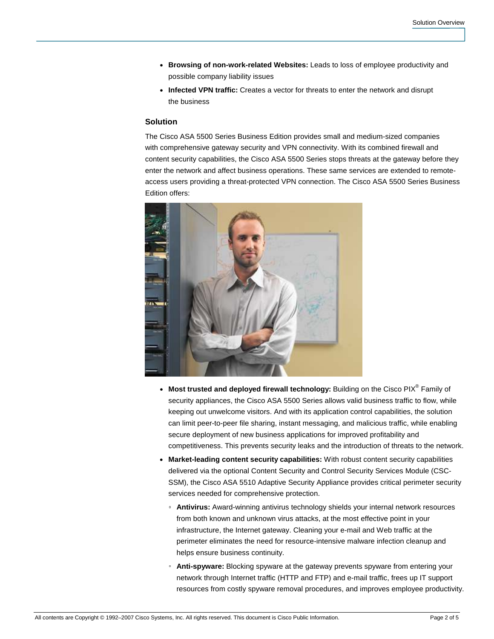- **Browsing of non-work-related Websites:** Leads to loss of employee productivity and possible company liability issues
- **Infected VPN traffic:** Creates a vector for threats to enter the network and disrupt the business

#### **Solution**

The Cisco ASA 5500 Series Business Edition provides small and medium-sized companies with comprehensive gateway security and VPN connectivity. With its combined firewall and content security capabilities, the Cisco ASA 5500 Series stops threats at the gateway before they enter the network and affect business operations. These same services are extended to remoteaccess users providing a threat-protected VPN connection. The Cisco ASA 5500 Series Business Edition offers:



- Most trusted and deployed firewall technology: Building on the Cisco PIX<sup>®</sup> Family of security appliances, the Cisco ASA 5500 Series allows valid business traffic to flow, while keeping out unwelcome visitors. And with its application control capabilities, the solution can limit peer-to-peer file sharing, instant messaging, and malicious traffic, while enabling secure deployment of new business applications for improved profitability and competitiveness. This prevents security leaks and the introduction of threats to the network.
- **Market-leading content security capabilities:** With robust content security capabilities delivered via the optional Content Security and Control Security Services Module (CSC-SSM), the Cisco ASA 5510 Adaptive Security Appliance provides critical perimeter security services needed for comprehensive protection.
	- **Antivirus:** Award-winning antivirus technology shields your internal network resources from both known and unknown virus attacks, at the most effective point in your infrastructure, the Internet gateway. Cleaning your e-mail and Web traffic at the perimeter eliminates the need for resource-intensive malware infection cleanup and helps ensure business continuity.
	- **Anti-spyware:** Blocking spyware at the gateway prevents spyware from entering your network through Internet traffic (HTTP and FTP) and e-mail traffic, frees up IT support resources from costly spyware removal procedures, and improves employee productivity.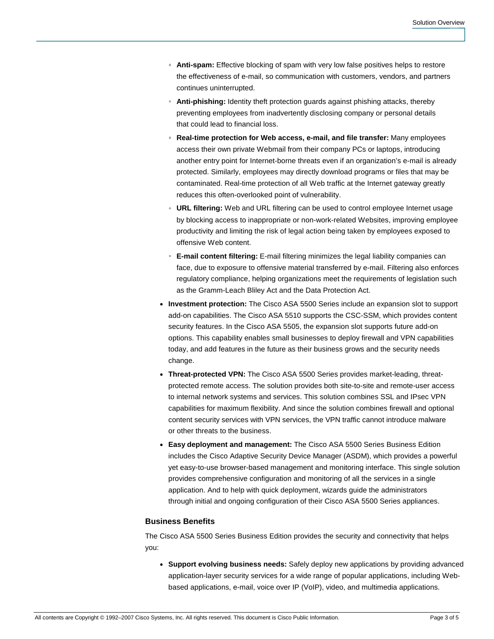- **Anti-spam:** Effective blocking of spam with very low false positives helps to restore the effectiveness of e-mail, so communication with customers, vendors, and partners continues uninterrupted.
- **Anti-phishing:** Identity theft protection guards against phishing attacks, thereby preventing employees from inadvertently disclosing company or personal details that could lead to financial loss.
- **Real-time protection for Web access, e-mail, and file transfer:** Many employees access their own private Webmail from their company PCs or laptops, introducing another entry point for Internet-borne threats even if an organization's e-mail is already protected. Similarly, employees may directly download programs or files that may be contaminated. Real-time protection of all Web traffic at the Internet gateway greatly reduces this often-overlooked point of vulnerability.
- **URL filtering:** Web and URL filtering can be used to control employee Internet usage by blocking access to inappropriate or non-work-related Websites, improving employee productivity and limiting the risk of legal action being taken by employees exposed to offensive Web content.
- **E-mail content filtering:** E-mail filtering minimizes the legal liability companies can face, due to exposure to offensive material transferred by e-mail. Filtering also enforces regulatory compliance, helping organizations meet the requirements of legislation such as the Gramm-Leach Bliley Act and the Data Protection Act.
- **Investment protection:** The Cisco ASA 5500 Series include an expansion slot to support add-on capabilities. The Cisco ASA 5510 supports the CSC-SSM, which provides content security features. In the Cisco ASA 5505, the expansion slot supports future add-on options. This capability enables small businesses to deploy firewall and VPN capabilities today, and add features in the future as their business grows and the security needs change.
- **Threat-protected VPN:** The Cisco ASA 5500 Series provides market-leading, threatprotected remote access. The solution provides both site-to-site and remote-user access to internal network systems and services. This solution combines SSL and IPsec VPN capabilities for maximum flexibility. And since the solution combines firewall and optional content security services with VPN services, the VPN traffic cannot introduce malware or other threats to the business.
- **Easy deployment and management:** The Cisco ASA 5500 Series Business Edition includes the Cisco Adaptive Security Device Manager (ASDM), which provides a powerful yet easy-to-use browser-based management and monitoring interface. This single solution provides comprehensive configuration and monitoring of all the services in a single application. And to help with quick deployment, wizards guide the administrators through initial and ongoing configuration of their Cisco ASA 5500 Series appliances.

#### **Business Benefits**

The Cisco ASA 5500 Series Business Edition provides the security and connectivity that helps you:

● **Support evolving business needs:** Safely deploy new applications by providing advanced application-layer security services for a wide range of popular applications, including Webbased applications, e-mail, voice over IP (VoIP), video, and multimedia applications.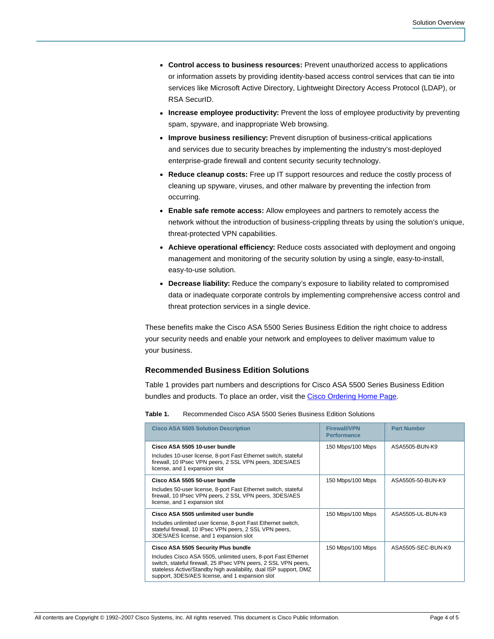- **Control access to business resources:** Prevent unauthorized access to applications or information assets by providing identity-based access control services that can tie into services like Microsoft Active Directory, Lightweight Directory Access Protocol (LDAP), or RSA SecurID.
- **Increase employee productivity:** Prevent the loss of employee productivity by preventing spam, spyware, and inappropriate Web browsing.
- **Improve business resiliency:** Prevent disruption of business-critical applications and services due to security breaches by implementing the industry's most-deployed enterprise-grade firewall and content security security technology.
- **Reduce cleanup costs:** Free up IT support resources and reduce the costly process of cleaning up spyware, viruses, and other malware by preventing the infection from occurring.
- **Enable safe remote access:** Allow employees and partners to remotely access the network without the introduction of business-crippling threats by using the solution's unique, threat-protected VPN capabilities.
- **Achieve operational efficiency:** Reduce costs associated with deployment and ongoing management and monitoring of the security solution by using a single, easy-to-install, easy-to-use solution.
- **Decrease liability:** Reduce the company's exposure to liability related to compromised data or inadequate corporate controls by implementing comprehensive access control and threat protection services in a single device.

These benefits make the Cisco ASA 5500 Series Business Edition the right choice to address your security needs and enable your network and employees to deliver maximum value to your business.

# **Recommended Business Edition Solutions**

Table 1 provides part numbers and descriptions for Cisco ASA 5500 Series Business Edition bundles and products. To place an order, visit the [Cisco Ordering Home Page.](http://www.cisco.com/en/US/ordering/or13/or8/order_customer_help_how_to_order_listing.html)

| Table 1.<br>Recommended Cisco ASA 5500 Series Business Edition Solutions                                                                                                                                                                                                                         |                                           |                    |
|--------------------------------------------------------------------------------------------------------------------------------------------------------------------------------------------------------------------------------------------------------------------------------------------------|-------------------------------------------|--------------------|
| <b>Cisco ASA 5505 Solution Description</b>                                                                                                                                                                                                                                                       | <b>Firewall/VPN</b><br><b>Performance</b> | <b>Part Number</b> |
| Cisco ASA 5505 10-user bundle<br>Includes 10-user license, 8-port Fast Ethernet switch, stateful<br>firewall, 10 IPsec VPN peers, 2 SSL VPN peers, 3DES/AES<br>license, and 1 expansion slot                                                                                                     | 150 Mbps/100 Mbps                         | ASA5505-BUN-K9     |
| Cisco ASA 5505 50-user bundle<br>Includes 50-user license, 8-port Fast Ethernet switch, stateful<br>firewall, 10 IPsec VPN peers, 2 SSL VPN peers, 3DES/AES<br>license, and 1 expansion slot                                                                                                     | 150 Mbps/100 Mbps                         | ASA5505-50-BUN-K9  |
| Cisco ASA 5505 unlimited user bundle<br>Includes unlimited user license, 8-port Fast Ethernet switch,<br>stateful firewall, 10 IPsec VPN peers, 2 SSL VPN peers,<br>3DES/AES license, and 1 expansion slot                                                                                       | 150 Mbps/100 Mbps                         | ASA5505-UL-BUN-K9  |
| Cisco ASA 5505 Security Plus bundle<br>Includes Cisco ASA 5505, unlimited users, 8-port Fast Ethernet<br>switch, stateful firewall, 25 IPsec VPN peers, 2 SSL VPN peers,<br>stateless Active/Standby high availability, dual ISP support, DMZ<br>support, 3DES/AES license, and 1 expansion slot | 150 Mbps/100 Mbps                         | ASA5505-SEC-BUN-K9 |